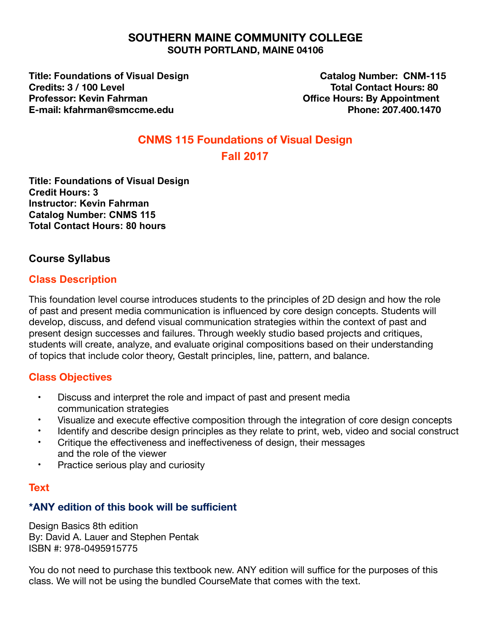#### SOUTHERN MAINE COMMUNITY COLLEGE SOUTH PORTLAND, MAINE 04106

Title: Foundations of Visual Design **Catalog Number: CNM-115** Credits: 3 / 100 Level **Credits: 3 / 100 Level Credits: 3 / 100 Level Credits: 80**<br>Professor: Kevin Fahrman **Credit Contact Hours: 80** E-mail: kfahrman@smccme.edu Phone: 207.400.1470

**Office Hours: By Appointment** 

# **CNMS 115 Foundations of Visual Design Fall 2017**

**Title: Foundations of Visual Design Credit Hours: 3 Instructor: Kevin Fahrman Catalog Number: CNMS 115 Total Contact Hours: 80 hours** 

# **Course Syllabus**

#### **Class Description**

This foundation level course introduces students to the principles of 2D design and how the role of past and present media communication is influenced by core design concepts. Students will develop, discuss, and defend visual communication strategies within the context of past and present design successes and failures. Through weekly studio based projects and critiques, students will create, analyze, and evaluate original compositions based on their understanding of topics that include color theory, Gestalt principles, line, pattern, and balance.

#### **Class Objectives**

- Discuss and interpret the role and impact of past and present media communication strategies
- Visualize and execute effective composition through the integration of core design concepts
- Identify and describe design principles as they relate to print, web, video and social construct
- Critique the effectiveness and ineffectiveness of design, their messages and the role of the viewer
- Practice serious play and curiosity

#### **Text**

# **\*ANY edition of this book will be sufficient**

Design Basics 8th edition By: David A. Lauer and Stephen Pentak ISBN #: 978-0495915775

You do not need to purchase this textbook new. ANY edition will suffice for the purposes of this class. We will not be using the bundled CourseMate that comes with the text.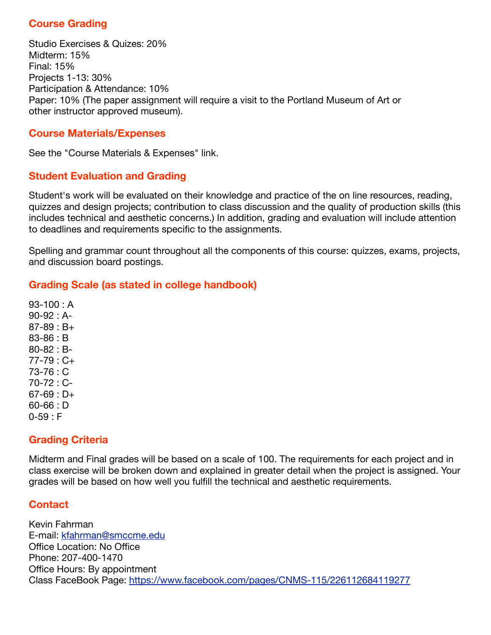# **Course Grading**

Studio Exercises & Quizes: 20% Midterm: 15% Final: 15% Projects 1-13: 30% Participation & Attendance: 10% Paper: 10% (The paper assignment will require a visit to the Portland Museum of Art or other instructor approved museum).

# **Course Materials/Expenses**

See the "Course Materials & Expenses" link.

# **Student Evaluation and Grading**

Student's work will be evaluated on their knowledge and practice of the on line resources, reading, quizzes and design projects; contribution to class discussion and the quality of production skills (this includes technical and aesthetic concerns.) In addition, grading and evaluation will include attention to deadlines and requirements specific to the assignments.

Spelling and grammar count throughout all the components of this course: quizzes, exams, projects, and discussion board postings.

# **Grading Scale (as stated in college handbook)**

93-100 : A 90-92 : A-87-89 : B+ 83-86 : B 80-82 : B- $77-79: C+$ 73-76 : C 70-72 : C- $67-69: D+$ 60-66 : D  $0 - 59 : F$ 

# **Grading Criteria**

Midterm and Final grades will be based on a scale of 100. The requirements for each project and in class exercise will be broken down and explained in greater detail when the project is assigned. Your grades will be based on how well you fulfill the technical and aesthetic requirements.

# **Contact**

Kevin Fahrman E-mail: [kfahrman@smccme.edu](mailto:kfahrman@smccme.edu) Office Location: No Office Phone: 207-400-1470 Office Hours: By appointment Class FaceBook Page:<https://www.facebook.com/pages/CNMS-115/226112684119277>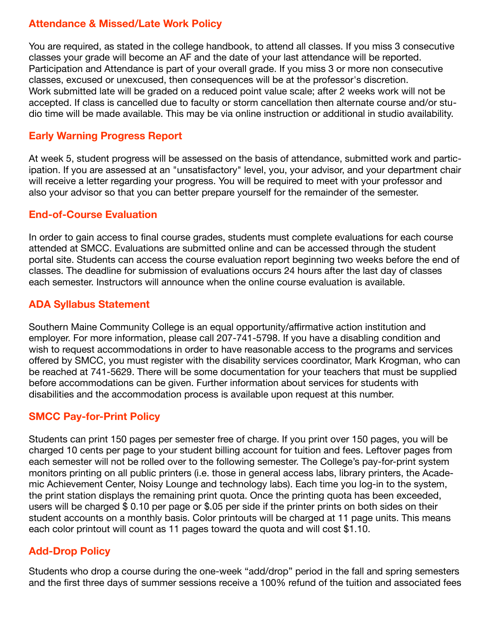# **Attendance & Missed/Late Work Policy**

You are required, as stated in the college handbook, to attend all classes. If you miss 3 consecutive classes your grade will become an AF and the date of your last attendance will be reported. Participation and Attendance is part of your overall grade. If you miss 3 or more non consecutive classes, excused or unexcused, then consequences will be at the professor's discretion. Work submitted late will be graded on a reduced point value scale; after 2 weeks work will not be accepted. If class is cancelled due to faculty or storm cancellation then alternate course and/or studio time will be made available. This may be via online instruction or additional in studio availability.

# **Early Warning Progress Report**

At week 5, student progress will be assessed on the basis of attendance, submitted work and participation. If you are assessed at an "unsatisfactory" level, you, your advisor, and your department chair will receive a letter regarding your progress. You will be required to meet with your professor and also your advisor so that you can better prepare yourself for the remainder of the semester.

#### **End-of-Course Evaluation**

In order to gain access to final course grades, students must complete evaluations for each course attended at SMCC. Evaluations are submitted online and can be accessed through the student portal site. Students can access the course evaluation report beginning two weeks before the end of classes. The deadline for submission of evaluations occurs 24 hours after the last day of classes each semester. Instructors will announce when the online course evaluation is available.

#### **ADA Syllabus Statement**

Southern Maine Community College is an equal opportunity/affirmative action institution and employer. For more information, please call 207-741-5798. If you have a disabling condition and wish to request accommodations in order to have reasonable access to the programs and services offered by SMCC, you must register with the disability services coordinator, Mark Krogman, who can be reached at 741-5629. There will be some documentation for your teachers that must be supplied before accommodations can be given. Further information about services for students with disabilities and the accommodation process is available upon request at this number.

#### **SMCC Pay-for-Print Policy**

Students can print 150 pages per semester free of charge. If you print over 150 pages, you will be charged 10 cents per page to your student billing account for tuition and fees. Leftover pages from each semester will not be rolled over to the following semester. The College's pay-for-print system monitors printing on all public printers (i.e. those in general access labs, library printers, the Academic Achievement Center, Noisy Lounge and technology labs). Each time you log-in to the system, the print station displays the remaining print quota. Once the printing quota has been exceeded, users will be charged \$ 0.10 per page or \$.05 per side if the printer prints on both sides on their student accounts on a monthly basis. Color printouts will be charged at 11 page units. This means each color printout will count as 11 pages toward the quota and will cost \$1.10.

# **Add-Drop Policy**

Students who drop a course during the one-week "add/drop" period in the fall and spring semesters and the first three days of summer sessions receive a 100% refund of the tuition and associated fees